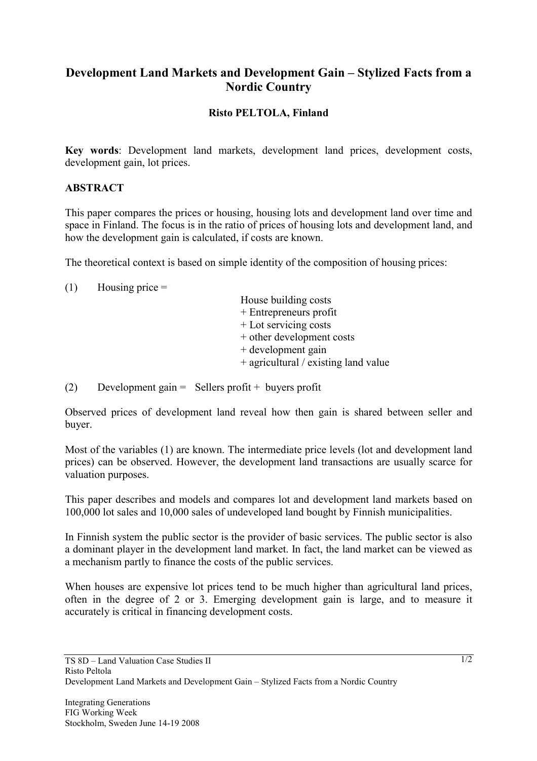## **Development Land Markets and Development Gain – Stylized Facts from a Nordic Country**

## **Risto PELTOLA, Finland**

**Key words**: Development land markets, development land prices, development costs, development gain, lot prices.

## **ABSTRACT**

This paper compares the prices or housing, housing lots and development land over time and space in Finland. The focus is in the ratio of prices of housing lots and development land, and how the development gain is calculated, if costs are known.

The theoretical context is based on simple identity of the composition of housing prices:

| (1) | Housing price $=$ |  |
|-----|-------------------|--|
|     |                   |  |

House building costs + Entrepreneurs profit + Lot servicing costs + other development costs + development gain + agricultural / existing land value

(2) Development gain = Sellers profit + buyers profit

Observed prices of development land reveal how then gain is shared between seller and buyer.

Most of the variables (1) are known. The intermediate price levels (lot and development land prices) can be observed. However, the development land transactions are usually scarce for valuation purposes.

This paper describes and models and compares lot and development land markets based on 100,000 lot sales and 10,000 sales of undeveloped land bought by Finnish municipalities.

In Finnish system the public sector is the provider of basic services. The public sector is also a dominant player in the development land market. In fact, the land market can be viewed as a mechanism partly to finance the costs of the public services.

When houses are expensive lot prices tend to be much higher than agricultural land prices, often in the degree of 2 or 3. Emerging development gain is large, and to measure it accurately is critical in financing development costs.